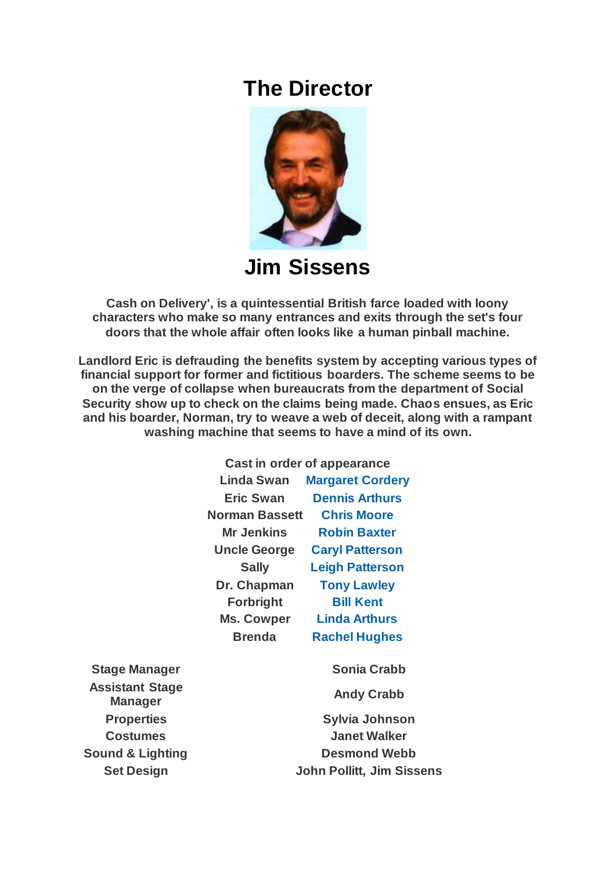## **The Director**



**Jim Sissens**

**Cash on Delivery', is a quintessential British farce loaded with loony characters who make so many entrances and exits through the set's four doors that the whole affair often looks like a human pinball machine.**

**Landlord Eric is defrauding the benefits system by accepting various types of financial support for former and fictitious boarders. The scheme seems to be on the verge of collapse when bureaucrats from the department of Social Security show up to check on the claims being made. Chaos ensues, as Eric and his boarder, Norman, try to weave a web of deceit, along with a rampant washing machine that seems to have a mind of its own.**

|                     | Cast in order of appearance |
|---------------------|-----------------------------|
| <b>Linda Swan</b>   | <b>Margaret Cordery</b>     |
| <b>Eric Swan</b>    | <b>Dennis Arthurs</b>       |
| Norman Bassett      | <b>Chris Moore</b>          |
| Mr Jenkins          | <b>Robin Baxter</b>         |
| <b>Uncle George</b> | <b>Caryl Patterson</b>      |
| <b>Sally</b>        | <b>Leigh Patterson</b>      |
| Dr. Chapman         | <b>Tony Lawley</b>          |
| <b>Forbright</b>    | <b>Bill Kent</b>            |
| <b>Ms. Cowper</b>   | <b>Linda Arthurs</b>        |
| <b>Brenda</b>       | <b>Rachel Hughes</b>        |
|                     |                             |

| <b>Stage Manager</b>   |
|------------------------|
| <b>Assistant Stage</b> |
| <b>Manager</b>         |
| <b>Properties</b>      |
| <b>Costumes</b>        |
| Sound & Lighting       |
| <b>Set Design</b>      |

**Andy Crabb Properties Sylvia Johnson Costumes Janet Walker Sound & Lighting Community Communist Communist Communist Communist Communist Communist Communist Communist Communist Communist Communist Communist Communist Communist Communist Communist Communist Communist Communist Comm John Pollitt, Jim Sissens** 

**Sonia Crabb**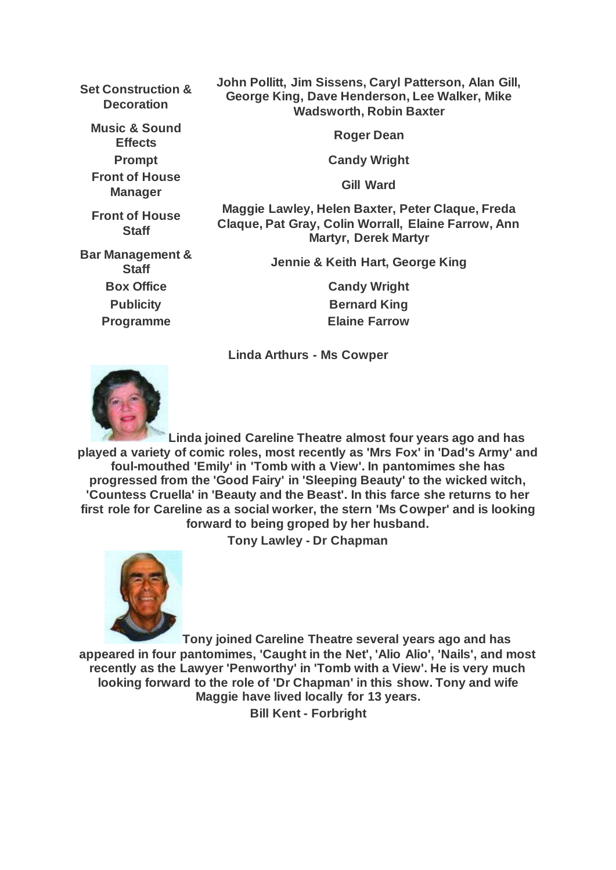| <b>Set Construction &amp;</b><br><b>Decoration</b> | John Pollitt, Jim Sissens, Caryl Patterson, Alan Gill,<br>George King, Dave Henderson, Lee Walker, Mike<br><b>Wadsworth, Robin Baxter</b> |
|----------------------------------------------------|-------------------------------------------------------------------------------------------------------------------------------------------|
| <b>Music &amp; Sound</b><br><b>Effects</b>         | <b>Roger Dean</b>                                                                                                                         |
| <b>Prompt</b>                                      | <b>Candy Wright</b>                                                                                                                       |
| <b>Front of House</b><br><b>Manager</b>            | <b>Gill Ward</b>                                                                                                                          |
| <b>Front of House</b><br><b>Staff</b>              | Maggie Lawley, Helen Baxter, Peter Claque, Freda<br>Claque, Pat Gray, Colin Worrall, Elaine Farrow, Ann<br><b>Martyr, Derek Martyr</b>    |
| <b>Bar Management &amp;</b><br><b>Staff</b>        | Jennie & Keith Hart, George King                                                                                                          |
| <b>Box Office</b>                                  | <b>Candy Wright</b>                                                                                                                       |
| <b>Publicity</b>                                   | <b>Bernard King</b>                                                                                                                       |
| <b>Programme</b>                                   | <b>Elaine Farrow</b>                                                                                                                      |
|                                                    | Linda Arthurs - Ms Cowper                                                                                                                 |

**Linda joined Careline Theatre almost four years ago and has played a variety of comic roles, most recently as 'Mrs Fox' in 'Dad's Army' and foul-mouthed 'Emily' in 'Tomb with a View'. In pantomimes she has progressed from the 'Good Fairy' in 'Sleeping Beauty' to the wicked witch, 'Countess Cruella' in 'Beauty and the Beast'. In this farce she returns to her first role for Careline as a social worker, the stern 'Ms Cowper' and is looking forward to being groped by her husband.**

**Tony Lawley - Dr Chapman**



**Tony joined Careline Theatre several years ago and has appeared in four pantomimes, 'Caught in the Net', 'Alio Alio', 'Nails', and most recently as the Lawyer 'Penworthy' in 'Tomb with a View'. He is very much looking forward to the role of 'Dr Chapman' in this show. Tony and wife Maggie have lived locally for 13 years.**

**Bill Kent - Forbright**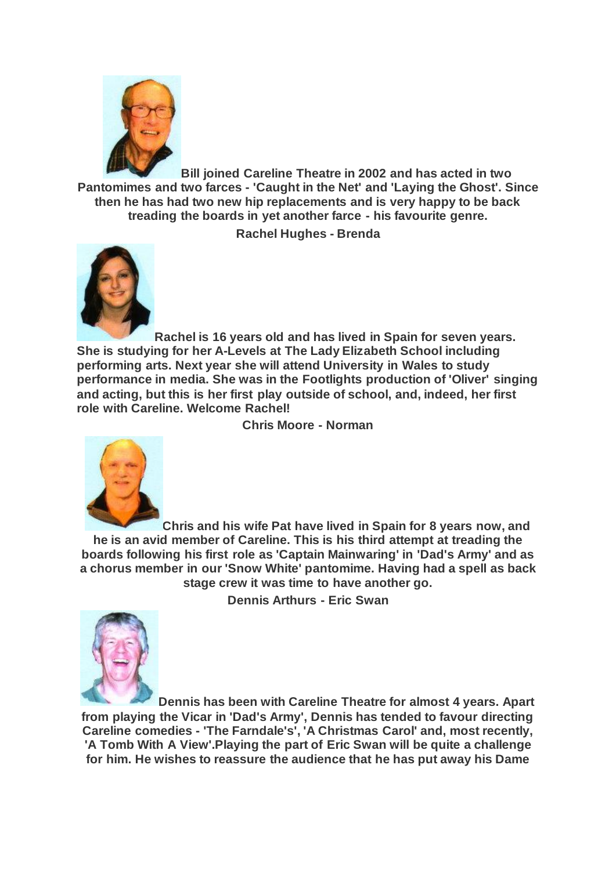

**Bill joined Careline Theatre in 2002 and has acted in two Pantomimes and two farces - 'Caught in the Net' and 'Laying the Ghost'. Since then he has had two new hip replacements and is very happy to be back treading the boards in yet another farce - his favourite genre.**

**Rachel Hughes - Brenda**



**Rachel is 16 years old and has lived in Spain for seven years. She is studying for her A-Levels at The Lady Elizabeth School including performing arts. Next year she will attend University in Wales to study performance in media. She was in the Footlights production of 'Oliver' singing and acting, but this is her first play outside of school, and, indeed, her first role with Careline. Welcome Rachel!**

**Chris Moore - Norman**



**Chris and his wife Pat have lived in Spain for 8 years now, and he is an avid member of Careline. This is his third attempt at treading the boards following his first role as 'Captain Mainwaring' in 'Dad's Army' and as a chorus member in our 'Snow White' pantomime. Having had a spell as back stage crew it was time to have another go.**

**Dennis Arthurs - Eric Swan**



**Dennis has been with Careline Theatre for almost 4 years. Apart from playing the Vicar in 'Dad's Army', Dennis has tended to favour directing Careline comedies - 'The Farndale's', 'A Christmas Carol' and, most recently, 'A Tomb With A View'.Playing the part of Eric Swan will be quite a challenge for him. He wishes to reassure the audience that he has put away his Dame**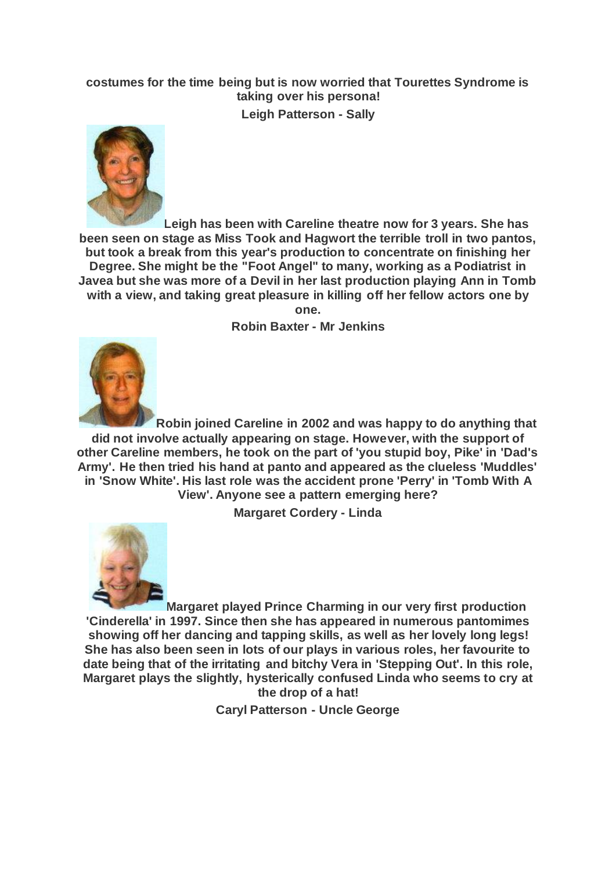## **costumes for the time being but is now worried that Tourettes Syndrome is taking over his persona!**

**Leigh Patterson - Sally**



**Leigh has been with Careline theatre now for 3 years. She has been seen on stage as Miss Took and Hagwort the terrible troll in two pantos, but took a break from this year's production to concentrate on finishing her Degree. She might be the "Foot Angel" to many, working as a Podiatrist in Javea but she was more of a Devil in her last production playing Ann in Tomb with a view, and taking great pleasure in killing off her fellow actors one by one.**

**Robin Baxter - Mr Jenkins**



**Robin joined Careline in 2002 and was happy to do anything that did not involve actually appearing on stage. However, with the support of other Careline members, he took on the part of 'you stupid boy, Pike' in 'Dad's Army'. He then tried his hand at panto and appeared as the clueless 'Muddles' in 'Snow White'. His last role was the accident prone 'Perry' in 'Tomb With A View'. Anyone see a pattern emerging here?**

**Margaret Cordery - Linda**



**Margaret played Prince Charming in our very first production 'Cinderella' in 1997. Since then she has appeared in numerous pantomimes showing off her dancing and tapping skills, as well as her lovely long legs! She has also been seen in lots of our plays in various roles, her favourite to date being that of the irritating and bitchy Vera in 'Stepping Out'. In this role, Margaret plays the slightly, hysterically confused Linda who seems to cry at the drop of a hat!**

**Caryl Patterson - Uncle George**